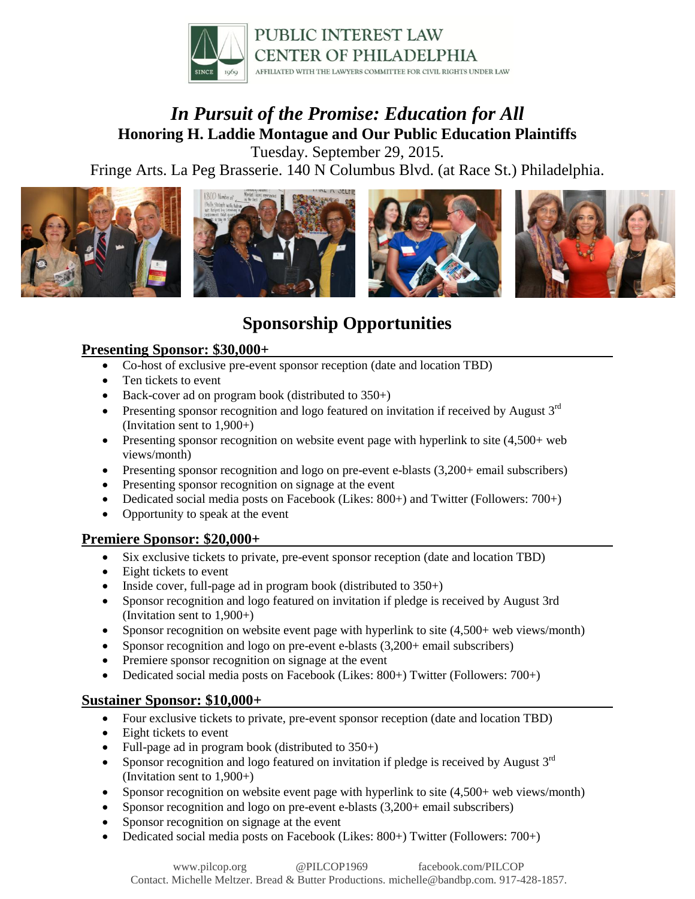

# *In Pursuit of the Promise: Education for All* **Honoring H. Laddie Montague and Our Public Education Plaintiffs**

Tuesday. September 29, 2015.

Fringe Arts. La Peg Brasserie. 140 N Columbus Blvd. (at Race St.) Philadelphia.



# **Sponsorship Opportunities**

#### **Presenting Sponsor: \$30,000+**

- Co-host of exclusive pre-event sponsor reception (date and location TBD)
- Ten tickets to event
- $\bullet$  Back-cover ad on program book (distributed to 350+)
- **•** Presenting sponsor recognition and logo featured on invitation if received by August  $3<sup>rd</sup>$ (Invitation sent to 1,900+)
- Presenting sponsor recognition on website event page with hyperlink to site  $(4,500)$ + web views/month)
- Presenting sponsor recognition and logo on pre-event e-blasts (3,200+ email subscribers)
- Presenting sponsor recognition on signage at the event
- Dedicated social media posts on Facebook (Likes: 800+) and Twitter (Followers: 700+)
- Opportunity to speak at the event

#### **Premiere Sponsor: \$20,000+**

- Six exclusive tickets to private, pre-event sponsor reception (date and location TBD)
- Eight tickets to event
- Inside cover, full-page ad in program book (distributed to  $350+$ )
- Sponsor recognition and logo featured on invitation if pledge is received by August 3rd (Invitation sent to 1,900+)
- Sponsor recognition on website event page with hyperlink to site  $(4,500+$  web views/month)
- Sponsor recognition and logo on pre-event e-blasts (3,200+ email subscribers)
- Premiere sponsor recognition on signage at the event
- Dedicated social media posts on Facebook (Likes: 800+) Twitter (Followers: 700+)

#### **Sustainer Sponsor: \$10,000+**

- Four exclusive tickets to private, pre-event sponsor reception (date and location TBD)
- Eight tickets to event
- Full-page ad in program book (distributed to  $350+)$
- Sponsor recognition and logo featured on invitation if pledge is received by August  $3<sup>rd</sup>$ (Invitation sent to 1,900+)
- Sponsor recognition on website event page with hyperlink to site (4,500+ web views/month)
- Sponsor recognition and logo on pre-event e-blasts (3,200+ email subscribers)
- Sponsor recognition on signage at the event
- Dedicated social media posts on Facebook (Likes: 800+) Twitter (Followers: 700+)